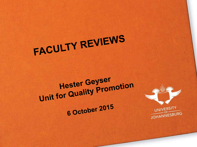# FACULTY REVIEWS

## **Hester Geyser** Unit for Quality Promotion 6 October 2015

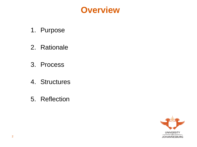

- 1. Purpose
- 2. Rationale
- 3. Process
- 4. Structures
- 5. Reflection

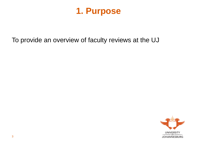

To provide an overview of faculty reviews at the UJ

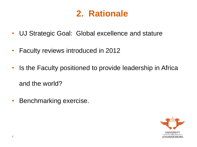#### **2. Rationale**

- UJ Strategic Goal: Global excellence and stature
- Faculty reviews introduced in 2012
- Is the Faculty positioned to provide leadership in Africa and the world?
- Benchmarking exercise.

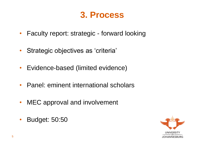#### **3. Process**

- Faculty report: strategic forward looking
- Strategic objectives as 'criteria'
- Evidence-based (limited evidence)
- Panel: eminent international scholars
- MEC approval and involvement
- Budget: 50:50

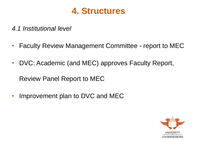

*4.1 Institutional level*

- Faculty Review Management Committee report to MEC
- DVC: Academic (and MEC) approves Faculty Report,

Review Panel Report to MEC

• Improvement plan to DVC and MEC

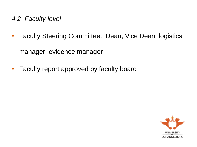- *4.2 Faculty level*
- Faculty Steering Committee: Dean, Vice Dean, logistics manager; evidence manager
- Faculty report approved by faculty board

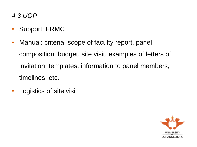*4.3 UQP*

- Support: FRMC
- Manual: criteria, scope of faculty report, panel composition, budget, site visit, examples of letters of invitation, templates, information to panel members, timelines, etc.
- Logistics of site visit.

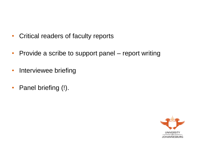- Critical readers of faculty reports
- Provide a scribe to support panel report writing
- Interviewee briefing
- Panel briefing (!).

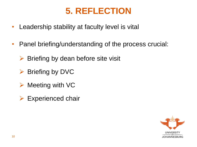### **5. REFLECTION**

- Leadership stability at faculty level is vital
- Panel briefing/understanding of the process crucial:
	- $\triangleright$  Briefing by dean before site visit
	- $\triangleright$  Briefing by DVC
	- $\triangleright$  Meeting with VC
	- $\triangleright$  Experienced chair

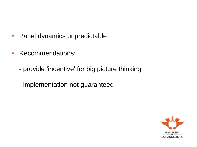- Panel dynamics unpredictable
- Recommendations:
	- provide 'incentive' for big picture thinking
	- implementation not guaranteed